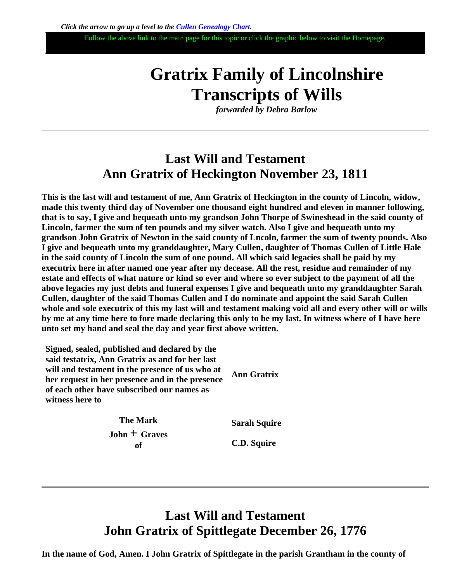Follow the above link to the main page for this topic or click the graphic below to visit the Homepage.

# **Gratrix Family of Lincolnshire Transcripts of Wills**

*forwarded by Debra Barlow*

## **Last Will and Testament Ann Gratrix of Heckington November 23, 1811**

**This is the last will and testament of me, Ann Gratrix of Heckington in the county of Lincoln, widow, made this twenty third day of November one thousand eight hundred and eleven in manner following, that is to say, I give and bequeath unto my grandson John Thorpe of Swineshead in the said county of Lincoln, farmer the sum of ten pounds and my silver watch. Also I give and bequeath unto my grandson John Gratrix of Newton in the said county of Lncoln, farmer the sum of twenty pounds. Also I give and bequeath unto my granddaughter, Mary Cullen, daughter of Thomas Cullen of Little Hale in the said county of Lincoln the sum of one pound. All which said legacies shall be paid by my executrix here in after named one year after my decease. All the rest, residue and remainder of my estate and effects of what nature or kind so ever and where so ever subject to the payment of all the above legacies my just debts and funeral expenses I give and bequeath unto my granddaughter Sarah Cullen, daughter of the said Thomas Cullen and I do nominate and appoint the said Sarah Cullen whole and sole executrix of this my last will and testament making void all and every other will or wills by me at any time here to fore made declaring this only to be my last. In witness where of I have here unto set my hand and seal the day and year first above written.**

**Signed, sealed, published and declared by the said testatrix, Ann Gratrix as and for her last will and testament in the presence of us who at her request in her presence and in the presence of each other have subscribed our names as witness here to Ann Gratrix**

> **The Mark John + Graves of**

**Sarah Squire**

**C.D. Squire**

### **Last Will and Testament John Gratrix of Spittlegate December 26, 1776**

**In the name of God, Amen. I John Gratrix of Spittlegate in the parish Grantham in the county of**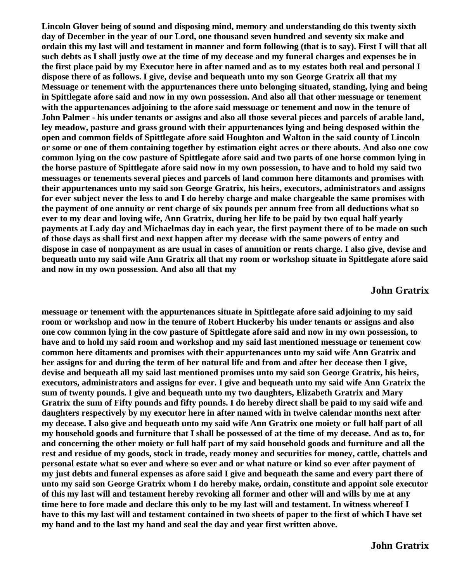**Lincoln Glover being of sound and disposing mind, memory and understanding do this twenty sixth day of December in the year of our Lord, one thousand seven hundred and seventy six make and ordain this my last will and testament in manner and form following (that is to say). First I will that all such debts as I shall justly owe at the time of my decease and my funeral charges and expenses be in the first place paid by my Executor here in after named and as to my estates both real and personal I dispose there of as follows. I give, devise and bequeath unto my son George Gratrix all that my Messuage or tenement with the appurtenances there unto belonging situated, standing, lying and being in Spittlegate afore said and now in my own possession. And also all that other messuage or tenement with the appurtenances adjoining to the afore said messuage or tenement and now in the tenure of John Palmer - his under tenants or assigns and also all those several pieces and parcels of arable land, ley meadow, pasture and grass ground with their appurtenances lying and being desposed within the open and common fields of Spittlegate afore said Houghton and Walton in the said county of Lincoln or some or one of them containing together by estimation eight acres or there abouts. And also one cow common lying on the cow pasture of Spittlegate afore said and two parts of one horse common lying in the horse pasture of Spittlegate afore said now in my own possession, to have and to hold my said two messuages or tenements several pieces and parcels of land common here ditamonts and promises with their appurtenances unto my said son George Gratrix, his heirs, executors, administrators and assigns for ever subject never the less to and I do hereby charge and make chargeable the same promises with the payment of one annuity or rent charge of six pounds per annum free from all deductions what so ever to my dear and loving wife, Ann Gratrix, during her life to be paid by two equal half yearly payments at Lady day and Michaelmas day in each year, the first payment there of to be made on such of those days as shall first and next happen after my decease with the same powers of entry and dispose in case of nonpayment as are usual in cases of annuition or rents charge. I also give, devise and bequeath unto my said wife Ann Gratrix all that my room or workshop situate in Spittlegate afore said and now in my own possession. And also all that my**

#### **John Gratrix**

**messuage or tenement with the appurtenances situate in Spittlegate afore said adjoining to my said room or workshop and now in the tenure of Robert Huckerby his under tenants or assigns and also one cow common lying in the cow pasture of Spittlegate afore said and now in my own possession, to have and to hold my said room and workshop and my said last mentioned messuage or tenement cow common here ditaments and promises with their appurtenances unto my said wife Ann Gratrix and her assigns for and during the term of her natural life and from and after her decease then I give, devise and bequeath all my said last mentioned promises unto my said son George Gratrix, his heirs, executors, administrators and assigns for ever. I give and bequeath unto my said wife Ann Gratrix the sum of twenty pounds. I give and bequeath unto my two daughters, Elizabeth Gratrix and Mary Gratrix the sum of Fifty pounds and fifty pounds. I do hereby direct shall be paid to my said wife and daughters respectively by my executor here in after named with in twelve calendar months next after my decease. I also give and bequeath unto my said wife Ann Gratrix one moiety or full half part of all my household goods and furniture that I shall be possessed of at the time of my decease. And as to, for and concerning the other moiety or full half part of my said household goods and furniture and all the rest and residue of my goods, stock in trade, ready money and securities for money, cattle, chattels and personal estate what so ever and where so ever and or what nature or kind so ever after payment of my just debts and funeral expenses as afore said I give and bequeath the same and every part there of unto my said son George Gratrix whom I do hereby make, ordain, constitute and appoint sole executor of this my last will and testament hereby revoking all former and other will and wills by me at any time here to fore made and declare this only to be my last will and testament. In witness whereof I have to this my last will and testament contained in two sheets of paper to the first of which I have set my hand and to the last my hand and seal the day and year first written above.**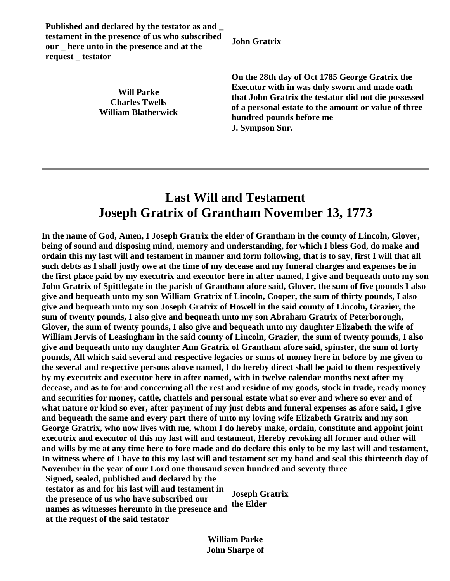**Published and declared by the testator as and \_ testament in the presence of us who subscribed our \_ here unto in the presence and at the request \_ testator**

> **Will Parke Charles Twells William Blatherwick**

**John Gratrix**

**On the 28th day of Oct 1785 George Gratrix the Executor with in was duly sworn and made oath that John Gratrix the testator did not die possessed of a personal estate to the amount or value of three hundred pounds before me J. Sympson Sur.**

### **Last Will and Testament Joseph Gratrix of Grantham November 13, 1773**

**In the name of God, Amen, I Joseph Gratrix the elder of Grantham in the county of Lincoln, Glover, being of sound and disposing mind, memory and understanding, for which I bless God, do make and ordain this my last will and testament in manner and form following, that is to say, first I will that all such debts as I shall justly owe at the time of my decease and my funeral charges and expenses be in the first place paid by my executrix and executor here in after named, I give and bequeath unto my son John Gratrix of Spittlegate in the parish of Grantham afore said, Glover, the sum of five pounds I also give and bequeath unto my son William Gratrix of Lincoln, Cooper, the sum of thirty pounds, I also give and bequeath unto my son Joseph Gratrix of Howell in the said county of Lincoln, Grazier, the sum of twenty pounds, I also give and bequeath unto my son Abraham Gratrix of Peterborough, Glover, the sum of twenty pounds, I also give and bequeath unto my daughter Elizabeth the wife of William Jervis of Leasingham in the said county of Lincoln, Grazier, the sum of twenty pounds, I also give and bequeath unto my daughter Ann Gratrix of Grantham afore said, spinster, the sum of forty pounds, All which said several and respective legacies or sums of money here in before by me given to the several and respective persons above named, I do hereby direct shall be paid to them respectively by my executrix and executor here in after named, with in twelve calendar months next after my decease, and as to for and concerning all the rest and residue of my goods, stock in trade, ready money and securities for money, cattle, chattels and personal estate what so ever and where so ever and of what nature or kind so ever, after payment of my just debts and funeral expenses as afore said, I give and bequeath the same and every part there of unto my loving wife Elizabeth Gratrix and my son George Gratrix, who now lives with me, whom I do hereby make, ordain, constitute and appoint joint executrix and executor of this my last will and testament, Hereby revoking all former and other will and wills by me at any time here to fore made and do declare this only to be my last will and testament, In witness where of I have to this my last will and testament set my hand and seal this thirteenth day of November in the year of our Lord one thousand seven hundred and seventy three Signed, sealed, published and declared by the** 

**testator as and for his last will and testament in the presence of us who have subscribed our names as witnesses hereunto in the presence and at the request of the said testator Joseph Gratrix the Elder**

> **William Parke John Sharpe of**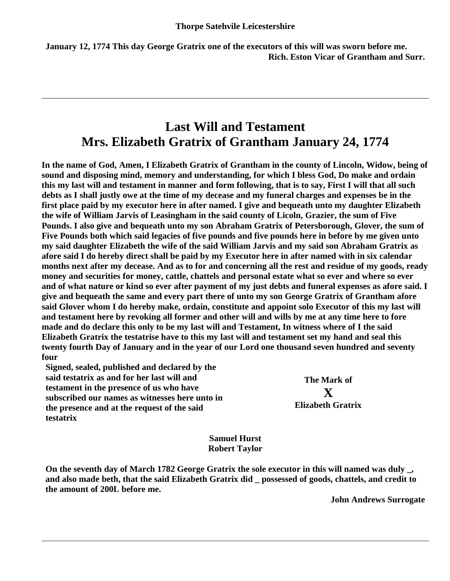**January 12, 1774 This day George Gratrix one of the executors of this will was sworn before me. Rich. Eston Vicar of Grantham and Surr.**

### **Last Will and Testament Mrs. Elizabeth Gratrix of Grantham January 24, 1774**

**In the name of God, Amen, I Elizabeth Gratrix of Grantham in the county of Lincoln, Widow, being of sound and disposing mind, memory and understanding, for which I bless God, Do make and ordain this my last will and testament in manner and form following, that is to say, First I will that all such debts as I shall justly owe at the time of my decease and my funeral charges and expenses be in the first place paid by my executor here in after named. I give and bequeath unto my daughter Elizabeth the wife of William Jarvis of Leasingham in the said county of Licoln, Grazier, the sum of Five Pounds. I also give and bequeath unto my son Abraham Gratrix of Petersborough, Glover, the sum of Five Pounds both which said legacies of five pounds and five pounds here in before by me given unto my said daughter Elizabeth the wife of the said William Jarvis and my said son Abraham Gratrix as afore said I do hereby direct shall be paid by my Executor here in after named with in six calendar months next after my decease. And as to for and concerning all the rest and residue of my goods, ready money and securities for money, cattle, chattels and personal estate what so ever and where so ever and of what nature or kind so ever after payment of my just debts and funeral expenses as afore said. I give and bequeath the same and every part there of unto my son George Gratrix of Grantham afore said Glover whom I do hereby make, ordain, constitute and appoint solo Executor of this my last will and testament here by revoking all former and other will and wills by me at any time here to fore made and do declare this only to be my last will and Testament, In witness where of I the said Elizabeth Gratrix the testatrise have to this my last will and testament set my hand and seal this twenty fourth Day of January and in the year of our Lord one thousand seven hundred and seventy four** 

**Signed, sealed, published and declared by the said testatrix as and for her last will and testament in the presence of us who have subscribed our names as witnesses here unto in the presence and at the request of the said testatrix**

**The Mark of X Elizabeth Gratrix**

**Samuel Hurst Robert Taylor**

**On the seventh day of March 1782 George Gratrix the sole executor in this will named was duly \_, and also made beth, that the said Elizabeth Gratrix did \_ possessed of goods, chattels, and credit to the amount of 200L before me.**

**John Andrews Surrogate**